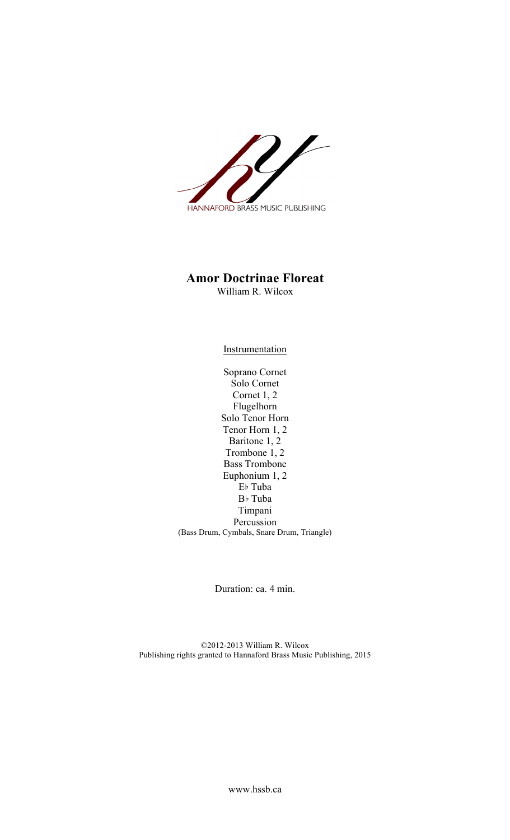

## **Amor Doctrinae Floreat**

William R. Wilcox

**Instrumentation** 

Soprano Cornet Solo Cornet Cornet 1, 2 Flugelhorn Solo Tenor Horn Tenor Horn 1, 2 Baritone 1, 2 Trombone 1, 2 Bass Trombone Euphonium 1, 2 E♭ Tuba B♭ Tuba Timpani Percussion (Bass Drum, Cymbals, Snare Drum, Triangle)

Duration: ca. 4 min.

©2012-2013 William R. Wilcox Publishing rights granted to Hannaford Brass Music Publishing, 2015